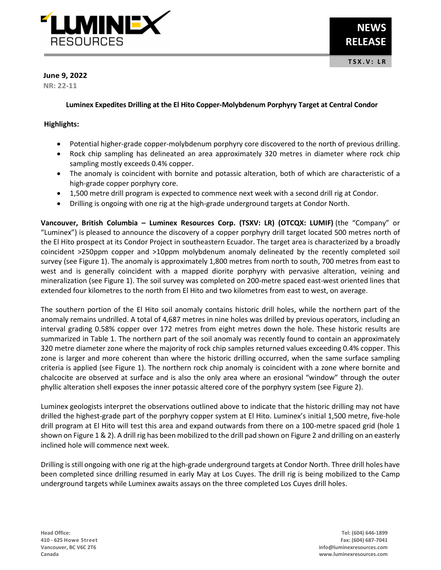

# **June 9, 2022**

**NR: 22-11**

## **Luminex Expedites Drilling at the El Hito Copper-Molybdenum Porphyry Target at Central Condor**

## **Highlights:**

- Potential higher-grade copper-molybdenum porphyry core discovered to the north of previous drilling.
- Rock chip sampling has delineated an area approximately 320 metres in diameter where rock chip sampling mostly exceeds 0.4% copper.
- The anomaly is coincident with bornite and potassic alteration, both of which are characteristic of a high-grade copper porphyry core.
- 1,500 metre drill program is expected to commence next week with a second drill rig at Condor.
- Drilling is ongoing with one rig at the high-grade underground targets at Condor North.

**Vancouver, British Columbia – Luminex Resources Corp. (TSXV: LR) (OTCQX: LUMIF)** (the "Company" or "Luminex") is pleased to announce the discovery of a copper porphyry drill target located 500 metres north of the El Hito prospect at its Condor Project in southeastern Ecuador. The target area is characterized by a broadly coincident >250ppm copper and >10ppm molybdenum anomaly delineated by the recently completed soil survey (see Figure 1). The anomaly is approximately 1,800 metres from north to south, 700 metres from east to west and is generally coincident with a mapped diorite porphyry with pervasive alteration, veining and mineralization (see Figure 1). The soil survey was completed on 200-metre spaced east-west oriented lines that extended four kilometres to the north from El Hito and two kilometres from east to west, on average.

The southern portion of the El Hito soil anomaly contains historic drill holes, while the northern part of the anomaly remains undrilled. A total of 4,687 metres in nine holes was drilled by previous operators, including an interval grading 0.58% copper over 172 metres from eight metres down the hole. These historic results are summarized in Table 1. The northern part of the soil anomaly was recently found to contain an approximately 320 metre diameter zone where the majority of rock chip samples returned values exceeding 0.4% copper. This zone is larger and more coherent than where the historic drilling occurred, when the same surface sampling criteria is applied (see Figure 1). The northern rock chip anomaly is coincident with a zone where bornite and chalcocite are observed at surface and is also the only area where an erosional "window" through the outer phyllic alteration shell exposes the inner potassic altered core of the porphyry system (see Figure 2).

Luminex geologists interpret the observations outlined above to indicate that the historic drilling may not have drilled the highest-grade part of the porphyry copper system at El Hito. Luminex's initial 1,500 metre, five-hole drill program at El Hito will test this area and expand outwards from there on a 100-metre spaced grid (hole 1 shown on Figure 1 & 2). A drill rig has been mobilized to the drill pad shown on Figure 2 and drilling on an easterly inclined hole will commence next week.

Drilling is still ongoing with one rig at the high-grade underground targets at Condor North. Three drill holes have been completed since drilling resumed in early May at Los Cuyes. The drill rig is being mobilized to the Camp underground targets while Luminex awaits assays on the three completed Los Cuyes drill holes.

**Head Office: Tel: (604) 646-1899**

**410 - 625 Howe Street Fax: (604) 687-7041 Vancouver, BC V6C 2T6 info@luminexresources.com Canada www.luminexresources.com**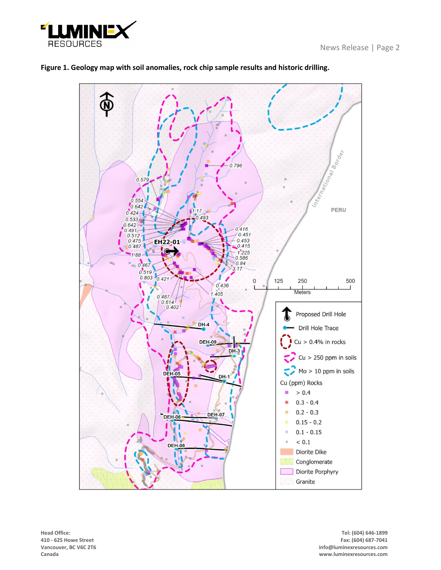



# **Figure 1. Geology map with soil anomalies, rock chip sample results and historic drilling.**

**410 - 625 Howe Street** 

**Head Office: Tel: (604) 646-1899 Vancouver, BC V6C 2T6 info@luminexresources.com Canada www.luminexresources.com**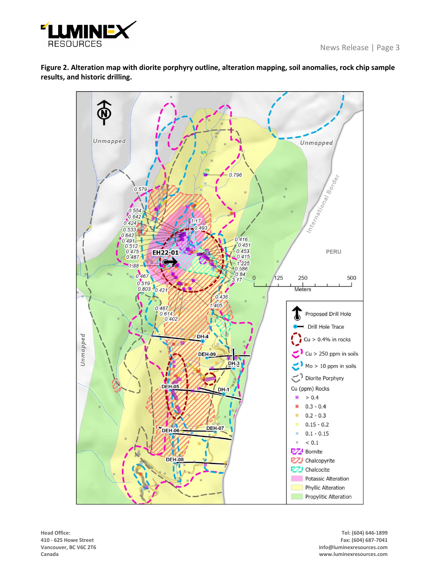

**Figure 2. Alteration map with diorite porphyry outline, alteration mapping, soil anomalies, rock chip sample results, and historic drilling.**



**410 - 625 Howe Street** 

**Head Office: Tel: (604) 646-1899 Vancouver, BC V6C 2T6 info@luminexresources.com Canada www.luminexresources.com**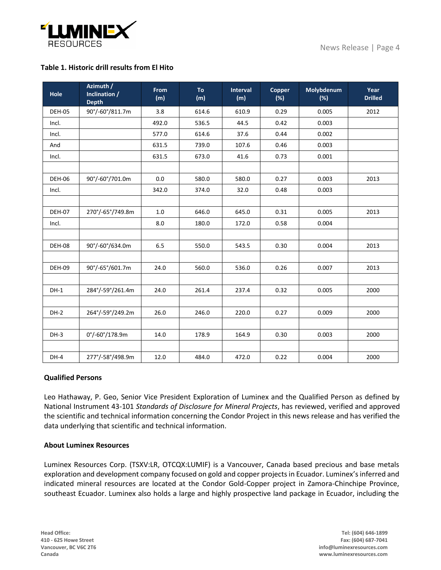

## **Table 1. Historic drill results from El Hito**

| Hole          | Azimuth /<br>Inclination /<br><b>Depth</b> | <b>From</b><br>(m) | <b>To</b><br>(m) | <b>Interval</b><br>(m) | Copper<br>(%) | Molybdenum<br>(%) | Year<br><b>Drilled</b> |
|---------------|--------------------------------------------|--------------------|------------------|------------------------|---------------|-------------------|------------------------|
| <b>DEH-05</b> | 90°/-60°/811.7m                            | 3.8                | 614.6            | 610.9                  | 0.29          | 0.005             | 2012                   |
| Incl.         |                                            | 492.0              | 536.5            | 44.5                   | 0.42          | 0.003             |                        |
| Incl.         |                                            | 577.0              | 614.6            | 37.6                   | 0.44          | 0.002             |                        |
| And           |                                            | 631.5              | 739.0            | 107.6                  | 0.46          | 0.003             |                        |
| Incl.         |                                            | 631.5              | 673.0            | 41.6                   | 0.73          | 0.001             |                        |
|               |                                            |                    |                  |                        |               |                   |                        |
| <b>DEH-06</b> | 90°/-60°/701.0m                            | 0.0                | 580.0            | 580.0                  | 0.27          | 0.003             | 2013                   |
| Incl.         |                                            | 342.0              | 374.0            | 32.0                   | 0.48          | 0.003             |                        |
|               |                                            |                    |                  |                        |               |                   |                        |
| <b>DEH-07</b> | 270°/-65°/749.8m                           | $1.0\,$            | 646.0            | 645.0                  | 0.31          | 0.005             | 2013                   |
| Incl.         |                                            | 8.0                | 180.0            | 172.0                  | 0.58          | 0.004             |                        |
|               |                                            |                    |                  |                        |               |                   |                        |
| DEH-08        | 90°/-60°/634.0m                            | 6.5                | 550.0            | 543.5                  | 0.30          | 0.004             | 2013                   |
|               |                                            |                    |                  |                        |               |                   |                        |
| DEH-09        | 90°/-65°/601.7m                            | 24.0               | 560.0            | 536.0                  | 0.26          | 0.007             | 2013                   |
|               |                                            |                    |                  |                        |               |                   |                        |
| $DH-1$        | 284°/-59°/261.4m                           | 24.0               | 261.4            | 237.4                  | 0.32          | 0.005             | 2000                   |
|               |                                            |                    |                  |                        |               |                   |                        |
| DH-2          | 264°/-59°/249.2m                           | 26.0               | 246.0            | 220.0                  | 0.27          | 0.009             | 2000                   |
|               |                                            |                    |                  |                        |               |                   |                        |
| $DH-3$        | $0^{\circ}/$ -60 $^{\circ}/178.9$ m        | 14.0               | 178.9            | 164.9                  | 0.30          | 0.003             | 2000                   |
|               |                                            |                    |                  |                        |               |                   |                        |
| $DH-4$        | 277°/-58°/498.9m                           | 12.0               | 484.0            | 472.0                  | 0.22          | 0.004             | 2000                   |

#### **Qualified Persons**

Leo Hathaway, P. Geo, Senior Vice President Exploration of Luminex and the Qualified Person as defined by National Instrument 43-101 *Standards of Disclosure for Mineral Projects*, has reviewed, verified and approved the scientific and technical information concerning the Condor Project in this news release and has verified the data underlying that scientific and technical information.

#### **About Luminex Resources**

Luminex Resources Corp. (TSXV:LR, OTCQX:LUMIF) is a Vancouver, Canada based precious and base metals exploration and development company focused on gold and copper projects in Ecuador. Luminex's inferred and indicated mineral resources are located at the Condor Gold-Copper project in Zamora-Chinchipe Province, southeast Ecuador. Luminex also holds a large and highly prospective land package in Ecuador, including the